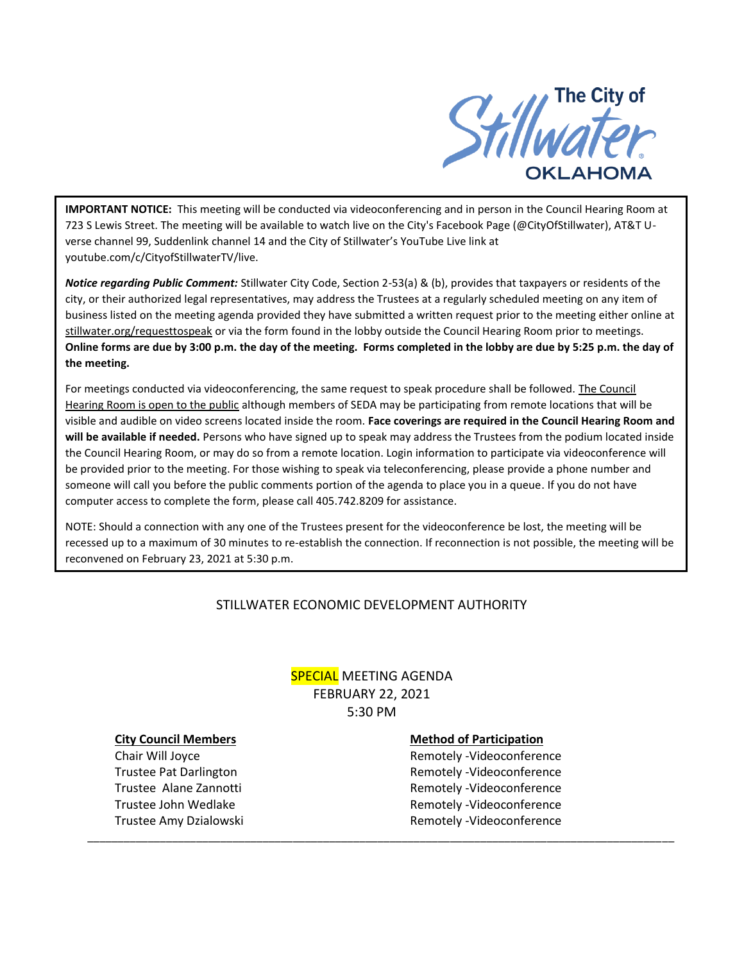

**IMPORTANT NOTICE:** This meeting will be conducted via videoconferencing and in person in the Council Hearing Room at 723 S Lewis Street. The meeting will be available to watch live on the City's Facebook Page (@CityOfStillwater), AT&T Uverse channel 99, Suddenlink channel 14 and the City of Stillwater's YouTube Live link at youtube.com/c/CityofStillwaterTV/live.

*Notice regarding Public Comment:* Stillwater City Code, Section 2-53(a) & (b), provides that taxpayers or residents of the city, or their authorized legal representatives, may address the Trustees at a regularly scheduled meeting on any item of business listed on the meeting agenda provided they have submitted a written request prior to the meeting either online at stillwater.org/requesttospeak or via the form found in the lobby outside the Council Hearing Room prior to meetings. **Online forms are due by 3:00 p.m. the day of the meeting. Forms completed in the lobby are due by 5:25 p.m. the day of the meeting.**

For meetings conducted via videoconferencing, the same request to speak procedure shall be followed. The Council Hearing Room is open to the public although members of SEDA may be participating from remote locations that will be visible and audible on video screens located inside the room. **Face coverings are required in the Council Hearing Room and will be available if needed.** Persons who have signed up to speak may address the Trustees from the podium located inside the Council Hearing Room, or may do so from a remote location. Login information to participate via videoconference will be provided prior to the meeting. For those wishing to speak via teleconferencing, please provide a phone number and someone will call you before the public comments portion of the agenda to place you in a queue. If you do not have computer access to complete the form, please call 405.742.8209 for assistance.

NOTE: Should a connection with any one of the Trustees present for the videoconference be lost, the meeting will be recessed up to a maximum of 30 minutes to re-establish the connection. If reconnection is not possible, the meeting will be reconvened on February 23, 2021 at 5:30 p.m.

# STILLWATER ECONOMIC DEVELOPMENT AUTHORITY

# **SPECIAL MEETING AGENDA** FEBRUARY 22, 2021 5:30 PM

\_\_\_\_\_\_\_\_\_\_\_\_\_\_\_\_\_\_\_\_\_\_\_\_\_\_\_\_\_\_\_\_\_\_\_\_\_\_\_\_\_\_\_\_\_\_\_\_\_\_\_\_\_\_\_\_\_\_\_\_\_\_\_\_\_\_\_\_\_\_\_\_\_\_\_\_\_\_\_\_\_\_\_\_\_\_\_\_\_\_\_\_\_\_\_\_\_

#### **City Council Members Method of Participation**

Chair Will Joyce **Remotely -Videoconference** Trustee Pat Darlington **Remotely -Videoconference** Trustee Alane Zannotti Remotely -Videoconference Trustee John Wedlake **Remotely -Videoconference** Trustee Amy Dzialowski and a metal remotely -Videoconference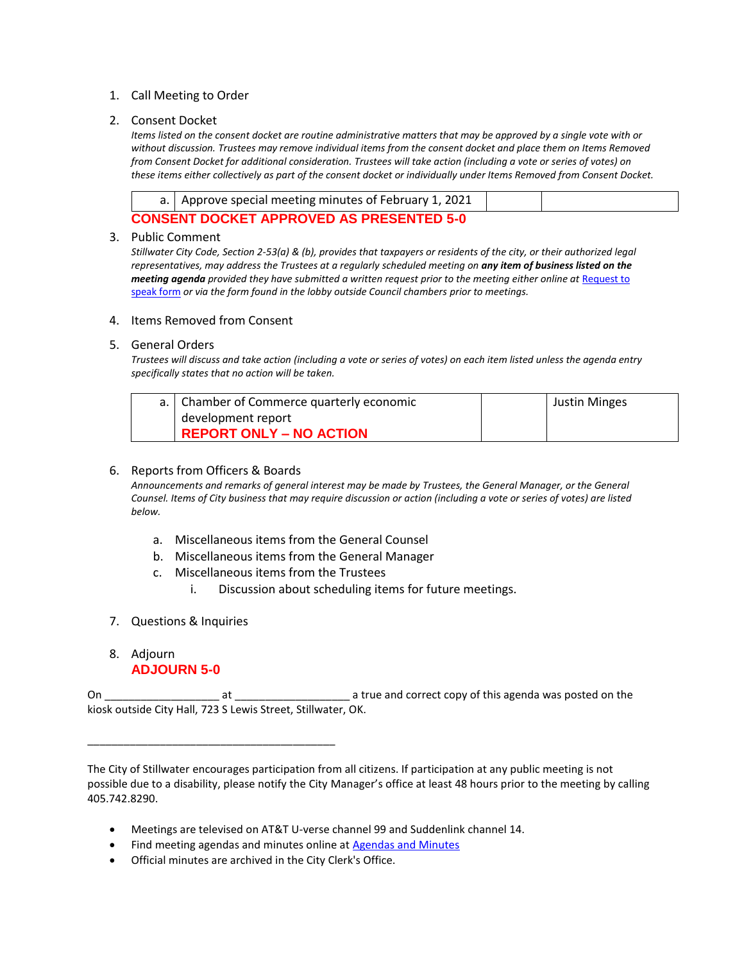## 1. Call Meeting to Order

## 2. Consent Docket

*Items listed on the consent docket are routine administrative matters that may be approved by a single vote with or without discussion. Trustees may remove individual items from the consent docket and place them on Items Removed from Consent Docket for additional consideration. Trustees will take action (including a vote or series of votes) on these items either collectively as part of the consent docket or individually under Items Removed from Consent Docket.*

|                                                 | a.   Approve special meeting minutes of February 1, 2021 |  |  |
|-------------------------------------------------|----------------------------------------------------------|--|--|
| <b>CONSENT DOCKET APPROVED AS PRESENTED 5-0</b> |                                                          |  |  |

#### 3. Public Comment

*Stillwater City Code, Section 2-53(a) & (b), provides that taxpayers or residents of the city, or their authorized legal representatives, may address the Trustees at a regularly scheduled meeting on any item of business listed on the meeting agenda provided they have submitted a written request prior to the meeting either online at Request to* [speak form](http://stillwater.org/page/home/government/mayor-city-council/meetings-agendas-minutes/online-request-to-speak-at-city-council) *or via the form found in the lobby outside Council chambers prior to meetings.*

#### 4. Items Removed from Consent

### 5. General Orders

*Trustees will discuss and take action (including a vote or series of votes) on each item listed unless the agenda entry specifically states that no action will be taken.*

| a.   Chamber of Commerce quarterly economic | <b>Justin Minges</b> |
|---------------------------------------------|----------------------|
| development report                          |                      |
| <b>REPORT ONLY - NO ACTION</b>              |                      |

### 6. Reports from Officers & Boards

*Announcements and remarks of general interest may be made by Trustees, the General Manager, or the General Counsel. Items of City business that may require discussion or action (including a vote or series of votes) are listed below.*

- a. Miscellaneous items from the General Counsel
- b. Miscellaneous items from the General Manager
- c. Miscellaneous items from the Trustees
	- i. Discussion about scheduling items for future meetings.
- 7. Questions & Inquiries

\_\_\_\_\_\_\_\_\_\_\_\_\_\_\_\_\_\_\_\_\_\_\_\_\_\_\_\_\_\_\_\_\_\_\_\_\_\_\_\_\_

# 8. Adjourn **ADJOURN 5-0**

On \_\_\_\_\_\_\_\_\_\_\_\_\_\_\_\_\_\_\_ at \_\_\_\_\_\_\_\_\_\_\_\_\_\_\_\_\_\_\_ a true and correct copy of this agenda was posted on the kiosk outside City Hall, 723 S Lewis Street, Stillwater, OK.

The City of Stillwater encourages participation from all citizens. If participation at any public meeting is not possible due to a disability, please notify the City Manager's office at least 48 hours prior to the meeting by calling 405.742.8290.

- Meetings are televised on AT&T U-verse channel 99 and Suddenlink channel 14.
- Find meeting agendas and minutes online at [Agendas and Minutes](http://stillwater.org/agenda)
- Official minutes are archived in the City Clerk's Office.